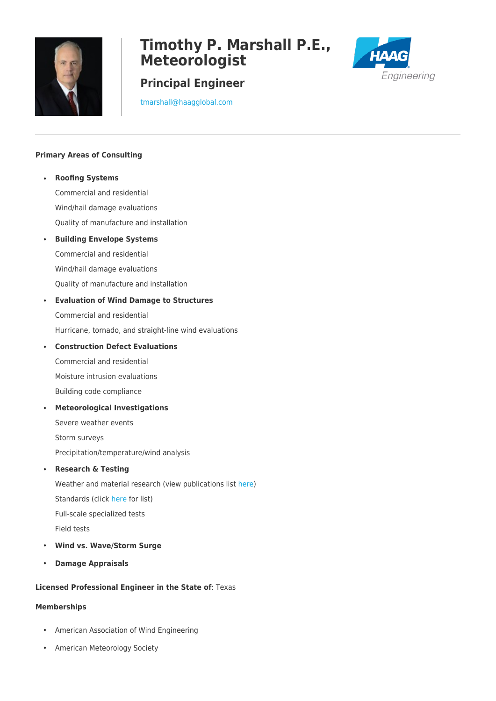

# **Timothy P. Marshall P.E., Meteorologist**

## **Principal Engineer**



[tmarshall@haagglobal.com](mailto:tmarshall@haagglobal.com)

### **Primary Areas of Consulting**

• **Roofing Systems** Commercial and residential Wind/hail damage evaluations Quality of manufacture and installation • **Building Envelope Systems**  Commercial and residential Wind/hail damage evaluations Quality of manufacture and installation • **Evaluation of Wind Damage to Structures** Commercial and residential Hurricane, tornado, and straight-line wind evaluations • **Construction Defect Evaluations** Commercial and residential Moisture intrusion evaluations Building code compliance • **Meteorological Investigations** Severe weather events Storm surveys Precipitation/temperature/wind analysis • **Research & Testing** Weather and material research (view publications list [here](https://haagglobal.com/am-site/media/2019-timspubslist-all.pdf)) Standards (click [here](https://haagresearchtesting.com/accredited-testing-standards/) for list)

Full-scale specialized tests

Field tests

- **Wind vs. Wave/Storm Surge**
- **Damage Appraisals**

#### **Licensed Professional Engineer in the State of**: Texas

#### **Memberships**

- American Association of Wind Engineering
- American Meteorology Society